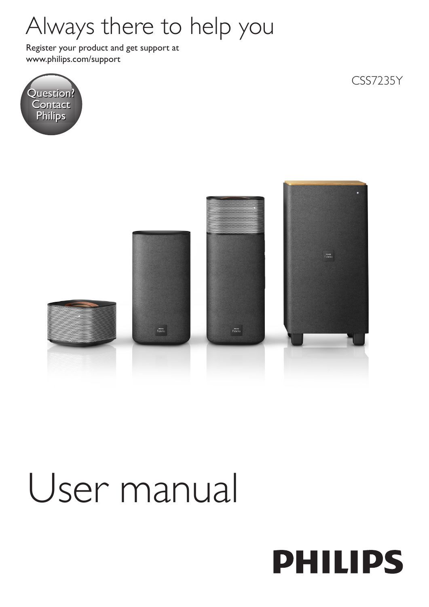## Always there to help you

www.philips.com/support Register your product and get support at



CSS7235Y



# User manual

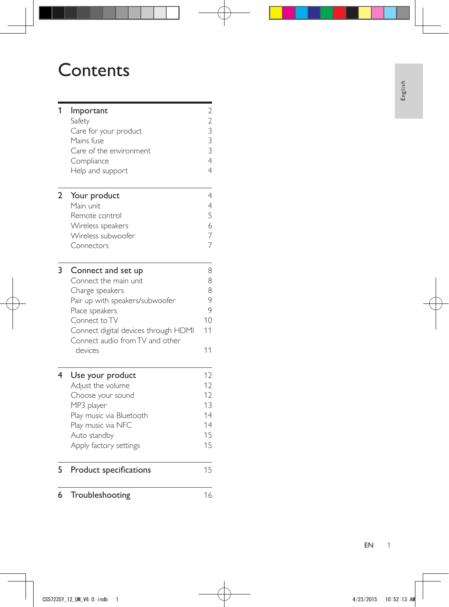## **Contents**

| 1              | Important<br>Safety<br>Care for your product<br>Mains fuse<br>Care of the environment<br>Compliance<br>Help and support | $2233$<br>$334$ |
|----------------|-------------------------------------------------------------------------------------------------------------------------|-----------------|
| $\overline{2}$ | Your product                                                                                                            | $\overline{4}$  |
|                | Main unit                                                                                                               | $\overline{4}$  |
|                | Remote control                                                                                                          | 5<br>6          |
|                | Wireless speakers<br>Wireless subwoofer                                                                                 | 7               |
|                | Connectors                                                                                                              | $\overline{7}$  |
|                |                                                                                                                         |                 |
| 3              | Connect and set up                                                                                                      | 8               |
|                | Connect the main unit                                                                                                   | 8               |
|                | Charge speakers                                                                                                         | 8               |
|                | Pair up with speakers/subwoofer                                                                                         | 9               |
|                | Place speakers                                                                                                          | 9               |
|                | Connect to TV                                                                                                           | 10              |
|                | Connect digital devices through HDMI<br>Connect audio from TV and other                                                 | 11              |
|                | devices                                                                                                                 | 11              |
|                |                                                                                                                         |                 |
| 4              | Use your product                                                                                                        | 12              |
|                | Adjust the volume                                                                                                       | 12              |
|                | Choose your sound                                                                                                       | 12              |
|                | MP3 player                                                                                                              | 13              |
|                | Play music via Bluetooth                                                                                                | 14              |
|                | Play music via NFC                                                                                                      | 14              |
|                | Auto standby                                                                                                            | 15<br>15        |
|                | Apply factory settings                                                                                                  |                 |
| 5              | Product specifications                                                                                                  | 15              |
| 6              | Troubleshooting                                                                                                         | 16              |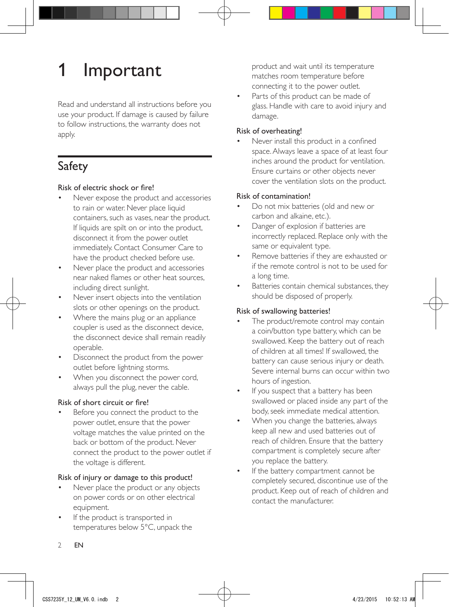## <span id="page-3-0"></span>**Important**

Read and understand all instructions before you use your product. If damage is caused by failure to follow instructions, the warranty does not apply.

## Safety

## Risk of electric shock or fire!

- Never expose the product and accessories to rain or water. Never place liquid containers, such as vases, near the product. If liquids are spilt on or into the product, disconnect it from the power outlet immediately. Contact Consumer Care to have the product checked before use.
- Never place the product and accessories near naked flames or other heat sources, including direct sunlight.
- Never insert objects into the ventilation slots or other openings on the product.
- Where the mains plug or an appliance coupler is used as the disconnect device, the disconnect device shall remain readily operable.
- Disconnect the product from the power outlet before lightning storms.
- When you disconnect the power cord, always pull the plug, never the cable.

## Risk of short circuit or fire!

Before you connect the product to the power outlet, ensure that the power voltage matches the value printed on the back or bottom of the product. Never connect the product to the power outlet if the voltage is different.

## Risk of injury or damage to this product!

- Never place the product or any objects on power cords or on other electrical equipment.
- If the product is transported in temperatures below 5°C, unpack the

product and wait until its temperature matches room temperature before connecting it to the power outlet.

Parts of this product can be made of glass. Handle with care to avoid injury and damage.

### Risk of overheating!

• Never install this product in a confined space. Always leave a space of at least four inches around the product for ventilation. Ensure curtains or other objects never cover the ventilation slots on the product.

## Risk of contamination!

- Do not mix batteries (old and new or carbon and alkaine, etc.).
- Danger of explosion if batteries are incorrectly replaced. Replace only with the same or equivalent type.
- Remove batteries if they are exhausted or if the remote control is not to be used for a long time.
- Batteries contain chemical substances, they should be disposed of properly.

## Risk of swallowing batteries!

- The product/remote control may contain a coin/button type battery, which can be swallowed. Keep the battery out of reach of children at all times! If swallowed, the battery can cause serious injury or death. Severe internal burns can occur within two hours of ingestion.
- If you suspect that a battery has been swallowed or placed inside any part of the body, seek immediate medical attention.
- When you change the batteries, always keep all new and used batteries out of reach of children. Ensure that the battery compartment is completely secure after you replace the battery.
- If the battery compartment cannot be completely secured, discontinue use of the product. Keep out of reach of children and contact the manufacturer.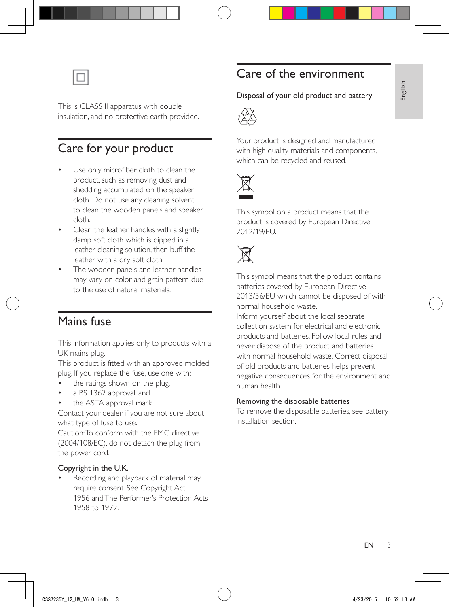<span id="page-4-0"></span>

This is CLASS II apparatus with double insulation, and no protective earth provided.

## Care for your product

- Use only microfiber cloth to clean the product, such as removing dust and shedding accumulated on the speaker cloth. Do not use any cleaning solvent to clean the wooden panels and speaker cloth.
- Clean the leather handles with a slightly damp soft cloth which is dipped in a leather cleaning solution, then buff the leather with a dry soft cloth.
- The wooden panels and leather handles may vary on color and grain pattern due to the use of natural materials.

## Mains fuse

This information applies only to products with a UK mains plug.

This product is fitted with an approved molded plug. If you replace the fuse, use one with:

- the ratings shown on the plug,
- a BS 1362 approval, and
- the ASTA approval mark.

Contact your dealer if you are not sure about what type of fuse to use.

Caution: To conform with the EMC directive (2004/108/EC), do not detach the plug from the power cord.

#### Copyright in the U.K.

• Recording and playback of material may require consent. See Copyright Act 1956 and The Performer's Protection Acts 1958 to 1972.

## Care of the environment

# Disposal of your old product and battery<br> $\overline{\langle \rangle}$



Your product is designed and manufactured with high quality materials and components, which can be recycled and reused.



This symbol on a product means that the product is covered by European Directive 2012/19/EU.



This symbol means that the product contains batteries covered by European Directive 2013/56/EU which cannot be disposed of with normal household waste.

Inform yourself about the local separate collection system for electrical and electronic products and batteries. Follow local rules and never dispose of the product and batteries with normal household waste. Correct disposal of old products and batteries helps prevent negative consequences for the environment and human health.

#### Removing the disposable batteries

To remove the disposable batteries, see battery installation section.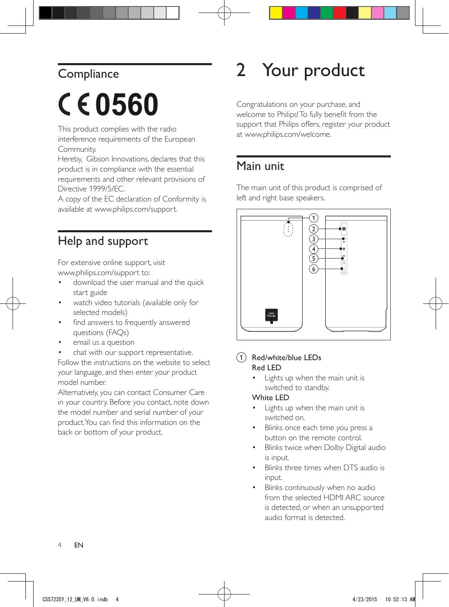## <span id="page-5-0"></span>**Compliance**

# CE0560

This product complies with the radio interference requirements of the European Community.

Hereby, Gibson Innovations, declares that this product is in compliance with the essential requirements and other relevant provisions of Directive 1999/5/EC.

A copy of the EC declaration of Conformity is available at www.philips.com/support.

## Help and support

For extensive online support, visit www.philips.com/support to:

- download the user manual and the quick start guide
- watch video tutorials (available only for selected models)
- find answers to frequently answered questions (FAQs)
- email us a question

chat with our support representative. Follow the instructions on the website to select your language, and then enter your product model number.

Alternatively, you can contact Consumer Care in your country. Before you contact, note down the model number and serial number of your product. You can find this information on the back or bottom of your product.

## 2 Your product

Congratulations on your purchase, and welcome to Philips! To fully benefit from the support that Philips offers, register your product at www.philips.com/welcome.

## Main unit

The main unit of this product is comprised of left and right base speakers.



### (1) Red/white/blue LEDs Red LED

Lights up when the main unit is switched to standby.

## White LED

- Lights up when the main unit is switched on.
- Blinks once each time you press a button on the remote control.
- Blinks twice when Dolby Digital audio is input.
- Blinks three times when DTS audio is input.
- Blinks continuously when no audio from the selected HDMI ARC source is detected, or when an unsupported audio format is detected.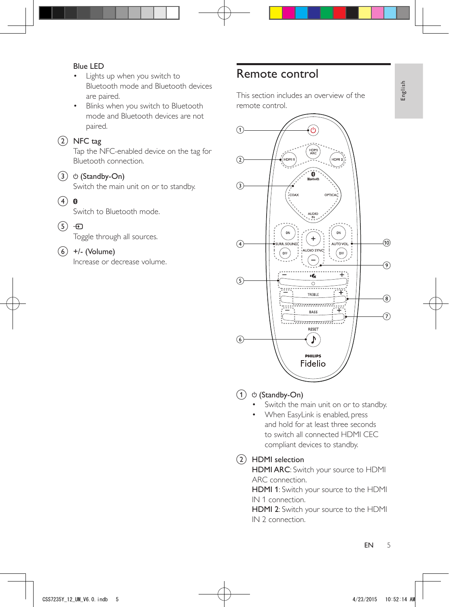### <span id="page-6-0"></span>Blue LED

- Lights up when you switch to Bluetooth mode and Bluetooth devices are paired.
- Blinks when you switch to Bluetooth mode and Bluetooth devices are not paired.

## $(2)$  NFC tag

Tap the NFC-enabled device on the tag for Bluetooth connection.

## $(3)$   $\circ$  (Standby-On)

Switch the main unit on or to standby.

 $\left(4\right)$  0

Switch to Bluetooth mode.

 $(5)$   $\oplus$ 

Toggle through all sources.

 $(6)$  +/- (Volume)

Increase or decrease volume.

## Remote control

This section includes an overview of the remote control.



## $(1)$   $\circ$  (Standby-On)

- Switch the main unit on or to standby.
- When EasyLink is enabled, press and hold for at least three seconds to switch all connected HDMI CEC compliant devices to standby.

## (2) HDMI selection

HDMI ARC: Switch your source to HDMI ARC connection.

HDMI 1: Switch your source to the HDMI IN 1 connection.

HDMI 2: Switch your source to the HDMI IN 2 connection.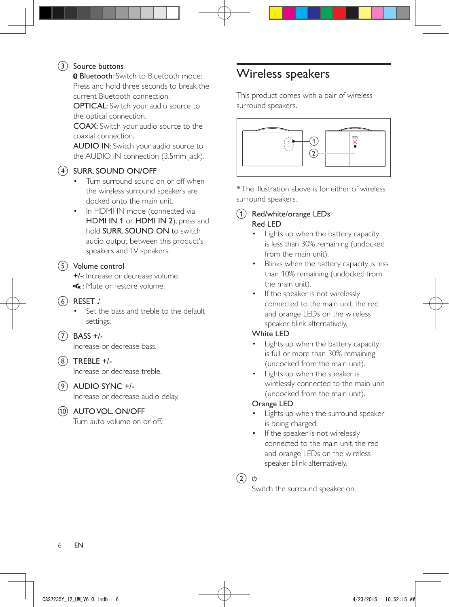## <span id="page-7-0"></span>(3) Source buttons

**B** Bluetooth: Switch to Bluetooth mode: Press and hold three seconds to break the current Bluetooth connection.

OPTICAL: Switch your audio source to the optical connection.

COAX: Switch your audio source to the coaxial connection.

AUDIO IN: Switch your audio source to the AUDIO IN connection (3.5mm jack).

## d SURR. SOUND ON/OFF

- Turn surround sound on or off when the wireless surround speakers are docked onto the main unit.
- In HDMI-IN mode (connected via HDMI IN 1 or HDMI IN 2), press and hold SURR. SOUND ON to switch audio output between this product's speakers and TV speakers.

### $(5)$  Volume control

+/-: Increase or decrease volume. : Mute or restore volume.

- $6$  RESET  $\sqrt{ }$ 
	- Set the bass and treble to the default settings.
- $(7)$  BASS +/-

Increase or decrease bass.

 $\binom{8}{ }$  TREBLE +/-

Increase or decrease treble.

## $(9)$  AUDIO SYNC +/-

Increase or decrease audio delay.

## (10) AUTO VOL. ON/OFF

Turn auto volume on or off.

## Wireless speakers

This product comes with a pair of wireless surround speakers.



\* The illustration above is for either of wireless surround speakers.

## (1) Red/white/orange LEDs Red LED

- Lights up when the battery capacity is less than 30% remaining (undocked from the main unit).
- Blinks when the battery capacity is less than 10% remaining (undocked from the main unit).
- If the speaker is not wirelessly connected to the main unit, the red and orange LEDs on the wireless speaker blink alternatively.

## White LED

- Lights up when the battery capacity is full or more than 30% remaining (undocked from the main unit).
- Lights up when the speaker is wirelessly connected to the main unit (undocked from the main unit).

## Orange LED

- Lights up when the surround speaker is being charged.
- If the speaker is not wirelessly connected to the main unit, the red and orange LEDs on the wireless speaker blink alternatively.

 $(2)$   $\circ$ 

Switch the surround speaker on.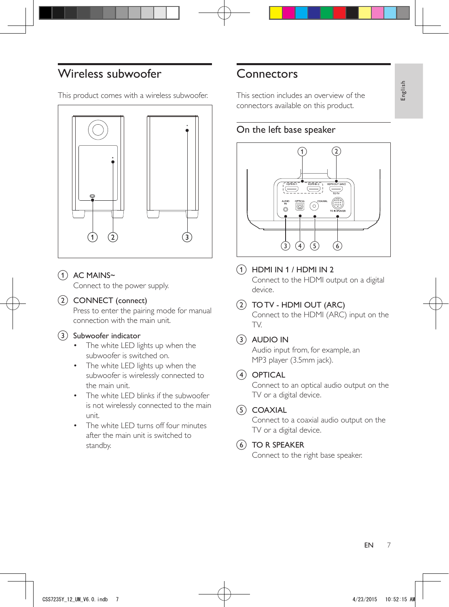## <span id="page-8-0"></span>Wireless subwoofer

This product comes with a wireless subwoofer.



 $(1)$  AC MAINS~

Connect to the power supply.

### $(2)$  CONNECT (connect)

Press to enter the pairing mode for manual connection with the main unit.

#### (3) Subwoofer indicator

- The white LED lights up when the subwoofer is switched on.
- The white LED lights up when the subwoofer is wirelessly connected to the main unit.
- The white LED blinks if the subwoofer is not wirelessly connected to the main unit.
- The white LED turns off four minutes after the main unit is switched to standby.

## **Connectors**

This section includes an overview of the connectors available on this product.

## On the left base speaker



 $(1)$  HDMI IN 1 / HDMI IN 2

Connect to the HDMI output on a digital device.

 $(2)$  TO TV - HDMI OUT (ARC)

Connect to the HDMI (ARC) input on the TV.

## $(3)$  AUDIO IN

Audio input from, for example, an MP3 player (3.5mm jack).

## $(4)$  OPTICAL

Connect to an optical audio output on the TV or a digital device.

## $(5)$  COAXIAL

Connect to a coaxial audio output on the TV or a digital device.

#### $(6)$  TO R SPEAKER

Connect to the right base speaker.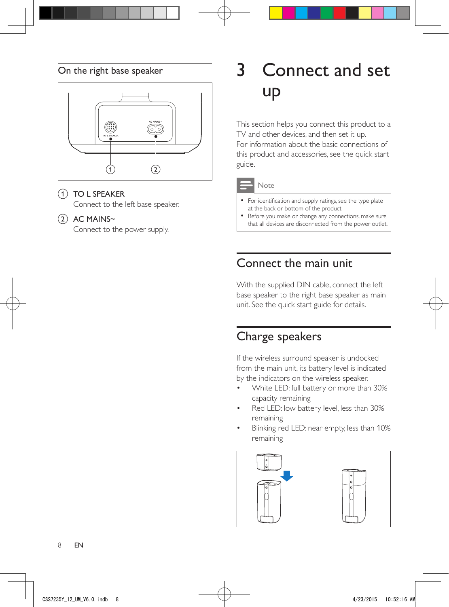## <span id="page-9-0"></span>On the right base speaker



## 1 TO L SPEAKER

Connect to the left base speaker.

### $(2)$  AC MAINS~

Connect to the power supply.

## 3 Connect and set up

This section helps you connect this product to a TV and other devices, and then set it up. For information about the basic connections of this product and accessories, see the quick start guide.



#### Note

- For identification and supply ratings, see the type plate at the back or bottom of the product.
- Before you make or change any connections, make sure that all devices are disconnected from the power outlet.

## Connect the main unit

With the supplied DIN cable, connect the left base speaker to the right base speaker as main unit. See the quick start guide for details.

## Charge speakers

If the wireless surround speaker is undocked from the main unit, its battery level is indicated by the indicators on the wireless speaker.

- White LED: full battery or more than 30% capacity remaining
- Red LED: low battery level, less than 30% remaining
- Blinking red LED: near empty, less than 10% remaining

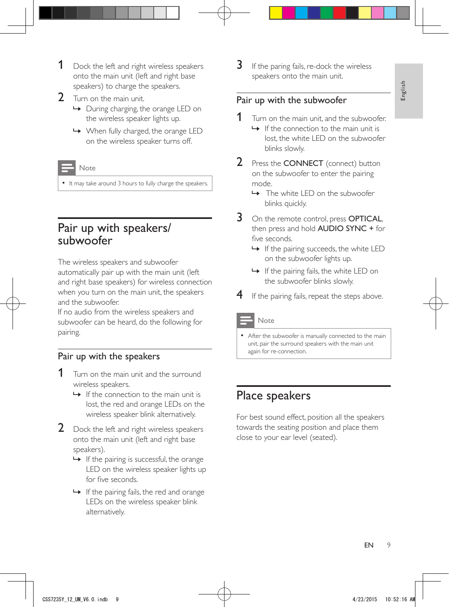- <span id="page-10-0"></span>**1** Dock the left and right wireless speakers onto the main unit (left and right base speakers) to charge the speakers.
- 2 Turn on the main unit.
	- » During charging, the orange LED on the wireless speaker lights up.
	- » When fully charged, the orange LED on the wireless speaker turns off.

#### Note

• It may take around 3 hours to fully charge the speakers.

## Pair up with speakers/ subwoofer

The wireless speakers and subwoofer automatically pair up with the main unit (left and right base speakers) for wireless connection when you turn on the main unit, the speakers and the subwoofer.

If no audio from the wireless speakers and subwoofer can be heard, do the following for pairing.

## <span id="page-10-1"></span>Pair up with the speakers

- Turn on the main unit and the surround wireless speakers.
	- $\rightarrow$  If the connection to the main unit is lost, the red and orange LEDs on the wireless speaker blink alternatively.
- 2 Dock the left and right wireless speakers onto the main unit (left and right base speakers).
	- $\rightarrow$  If the pairing is successful, the orange LED on the wireless speaker lights up for five seconds.
	- $\rightarrow$  If the pairing fails, the red and orange LEDs on the wireless speaker blink alternatively.

 $3$  If the paring fails, re-dock the wireless speakers onto the main unit.

## <span id="page-10-2"></span>Pair up with the subwoofer

- **1** Turn on the main unit, and the subwoofer.
	- $\rightarrow$  If the connection to the main unit is lost, the white LED on the subwoofer blinks slowly.
- 2 Press the **CONNECT** (connect) button on the subwoofer to enter the pairing mode.
	- » The white LED on the subwoofer blinks quickly.
- 3 On the remote control, press OPTICAL, then press and hold AUDIO SYNC + for five seconds.
	- $\rightarrow$  If the pairing succeeds, the white LED on the subwoofer lights up.
	- $\rightarrow$  If the pairing fails, the white LED on the subwoofer blinks slowly.
- $\overline{4}$  If the pairing fails, repeat the steps above.

#### Note

• After the subwoofer is manually connected to the main unit, pair the surround speakers with the main unit again for re-connection.

## Place speakers

For best sound effect, position all the speakers towards the seating position and place them close to your ear level (seated).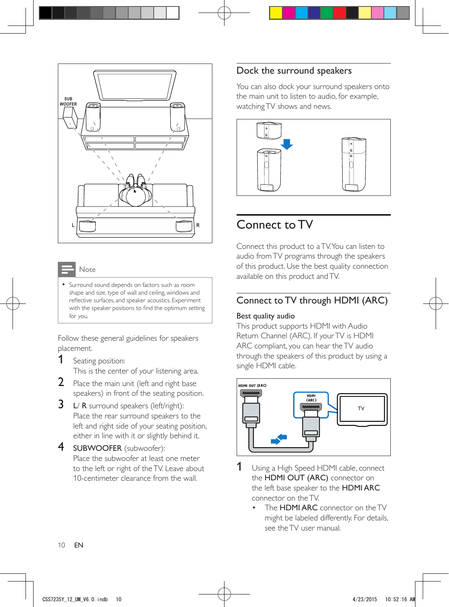<span id="page-11-0"></span>

#### Note

• Surround sound depends on factors such as room shape and size, type of wall and ceiling, windows and reflective surfaces, and speaker acoustics. Experiment with the speaker positions to find the optimum setting for you.

Follow these general guidelines for speakers placement.

- 1 Seating position: This is the center of your listening area.
- 2 Place the main unit (left and right base speakers) in front of the seating position.
- **3** L/ R surround speakers (left/right): Place the rear surround speakers to the left and right side of your seating position, either in line with it or slightly behind it.
- 4 SUBWOOFER (subwoofer): Place the subwoofer at least one meter to the left or right of the TV. Leave about 10-centimeter clearance from the wall.

## Dock the surround speakers

You can also dock your surround speakers onto the main unit to listen to audio, for example, watching TV shows and news.



## Connect to TV

Connect this product to a TV. You can listen to audio from TV programs through the speakers of this product. Use the best quality connection available on this product and TV.

## Connect to TV through HDMI (ARC)

#### Best quality audio

This product supports HDMI with Audio Return Channel (ARC). If your TV is HDMI ARC compliant, you can hear the TV audio through the speakers of this product by using a single HDMI cable.



- 1 Using a High Speed HDMI cable, connect the HDMI OUT (ARC) connector on the left base speaker to the HDMI ARC connector on the TV.
	- The **HDMI ARC** connector on the TV might be labeled differently. For details, see the TV user manual.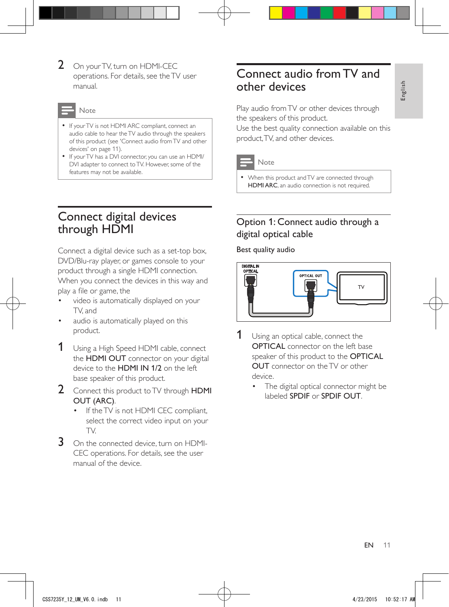<span id="page-12-0"></span>2 On your TV, turn on HDMI-CEC operations. For details, see the TV user manual.

Note

- [If your TV is not HDMI ARC compliant, connect an](#page-12-1)  [audio cable to hear the TV audio through the speakers](#page-12-1)  [of this product](#page-12-1) (see 'Connect audio from TV and other devices' on page [11](#page-12-1)).
- If your TV has a DVI connector, you can use an HDMI/ DVI adapter to connect to TV. However, some of the features may not be available.

## Connect digital devices through HDMI

Connect a digital device such as a set-top box, DVD/Blu-ray player, or games console to your product through a single HDMI connection. When you connect the devices in this way and play a file or game, the

- video is automatically displayed on your TV, and
- audio is automatically played on this product.
- **1** Using a High Speed HDMI cable, connect the HDMI OUT connector on your digital device to the HDMI IN 1/2 on the left base speaker of this product.
- 2 Connect this product to TV through HDMI OUT (ARC).
	- If the TV is not HDMI CEC compliant, select the correct video input on your TV.
- 3 On the connected device, turn on HDMI-CEC operations. For details, see the user manual of the device.

## <span id="page-12-1"></span>Connect audio from TV and other devices

Play audio from TV or other devices through the speakers of this product.

Use the best quality connection available on this product, TV, and other devices.



#### Note

• When this product and TV are connected through HDMI ARC, an audio connection is not required.

## Option 1: Connect audio through a digital optical cable

Best quality audio



- **1** Using an optical cable, connect the OPTICAL connector on the left base speaker of this product to the **OPTICAL** OUT connector on the TV or other device.
	- The digital optical connector might be labeled SPDIF or SPDIF OUT.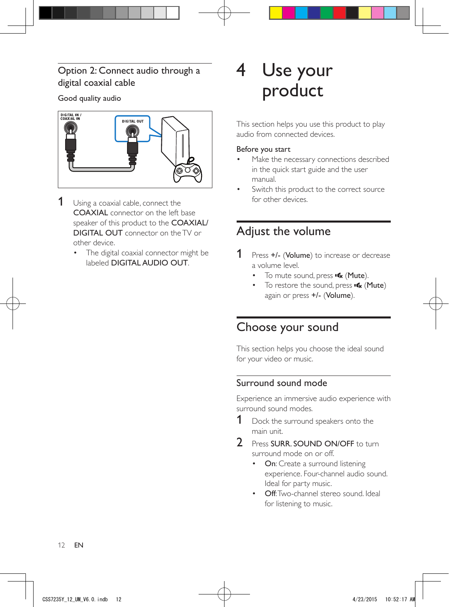## <span id="page-13-0"></span>Option 2: Connect audio through a digital coaxial cable

## Good quality audio



- **1** Using a coaxial cable, connect the COAXIAL connector on the left base speaker of this product to the COAXIAL/ DIGITAL OUT connector on the TV or other device.
	- The digital coaxial connector might be labeled DIGITAL AUDIO OUT.

## 4 Use your product

This section helps you use this product to play audio from connected devices.

#### Before you start

- Make the necessary connections described in the quick start guide and the user manual.
- Switch this product to the correct source for other devices.

## Adjust the volume

- **1** Press +/- (Volume) to increase or decrease a volume level.
	- To mute sound, press  $\mathbf{\cdot}$  (Mute).
	- To restore the sound, press  $\mathbf{\mathcal{R}}$  (Mute) again or press +/- (Volume).

## Choose your sound

This section helps you choose the ideal sound for your video or music.

## Surround sound mode

Experience an immersive audio experience with surround sound modes.

- **1** Dock the surround speakers onto the main unit.
- 2 Press SURR. SOUND ON/OFF to turn. surround mode on or off.
	- On: Create a surround listening experience. Four-channel audio sound. Ideal for party music.
	- **Off:** Two-channel stereo sound. Ideal for listening to music.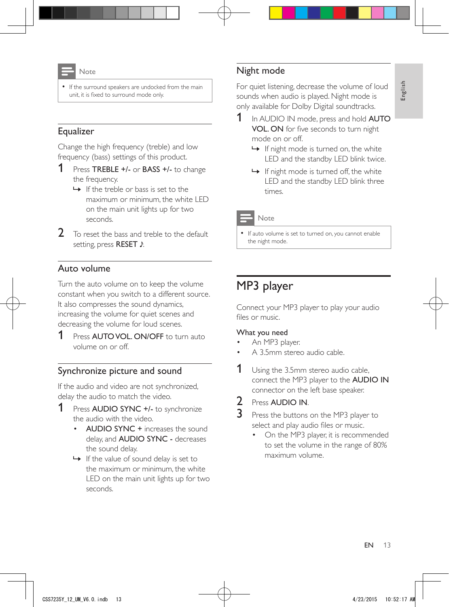<span id="page-14-0"></span>

If the surround speakers are undocked from the main unit, it is fixed to surround mode only.

## Equalizer

Change the high frequency (treble) and low frequency (bass) settings of this product.

- 1 Press TREBLE +/- or BASS +/- to change the frequency.
	- $\rightarrow$  If the treble or bass is set to the maximum or minimum, the white LED on the main unit lights up for two seconds.
- 2 To reset the bass and treble to the default setting, press RESET .

## Auto volume

Turn the auto volume on to keep the volume constant when you switch to a different source. It also compresses the sound dynamics, increasing the volume for quiet scenes and decreasing the volume for loud scenes.

1 Press AUTO VOL. ON/OFF to turn auto volume on or off.

## Synchronize picture and sound

If the audio and video are not synchronized, delay the audio to match the video.

- 1 Press AUDIO SYNC +/- to synchronize the audio with the video.
	- AUDIO SYNC + increases the sound delay, and AUDIO SYNC - decreases the sound delay.
	- $\rightarrow$  If the value of sound delay is set to the maximum or minimum, the white LED on the main unit lights up for two seconds.

## Night mode

For quiet listening, decrease the volume of loud sounds when audio is played. Night mode is only available for Dolby Digital soundtracks.

- 1 In AUDIO IN mode, press and hold **AUTO** VOL. ON for five seconds to turn night mode on or off.
	- $\rightarrow$  If night mode is turned on, the white LED and the standby LED blink twice.
	- $\rightarrow$  If night mode is turned off, the white LED and the standby LED blink three times.

Note

• If auto volume is set to turned on, you cannot enable the night mode.

## MP3 player

Connect your MP3 player to play your audio files or music.

#### What you need

- An MP3 player.
- A 3.5mm stereo audio cable.
- **1** Using the 3.5mm stereo audio cable, connect the MP3 player to the AUDIO IN connector on the left base speaker.

2 Press AUDIO IN.

- Press the buttons on the MP3 player to select and play audio files or music.
	- On the MP3 player, it is recommended to set the volume in the range of 80% maximum volume.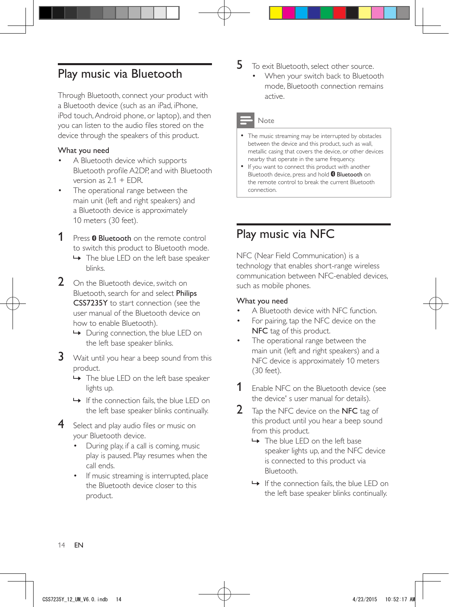## <span id="page-15-1"></span><span id="page-15-0"></span>Play music via Bluetooth

Through Bluetooth, connect your product with a Bluetooth device (such as an iPad, iPhone, iPod touch, Android phone, or laptop), and then you can listen to the audio files stored on the device through the speakers of this product.

#### What you need

- A Bluetooth device which supports Bluetooth profile A2DP, and with Bluetooth version as 2.1 + EDR.
- The operational range between the main unit (left and right speakers) and a Bluetooth device is approximately 10 meters (30 feet).

**1** Press **0 Bluetooth** on the remote control to switch this product to Bluetooth mode.

- » The blue LED on the left base speaker blinks.
- 2 On the Bluetooth device, switch on Bluetooth, search for and select Philips CSS7235Y to start connection (see the user manual of the Bluetooth device on how to enable Bluetooth).
	- » During connection, the blue LED on the left base speaker blinks.
- 3 Wait until you hear a beep sound from this product.
	- → The blue LED on the left base speaker lights up.
	- » If the connection fails, the blue LED on the left base speaker blinks continually.
- 4 Select and play audio files or music on your Bluetooth device.
	- During play, if a call is coming, music play is paused. Play resumes when the call ends.
	- If music streaming is interrupted, place the Bluetooth device closer to this product.
- $5$  To exit Bluetooth, select other source.
	- When your switch back to Bluetooth mode, Bluetooth connection remains active.

#### Note

- The music streaming may be interrupted by obstacles between the device and this product, such as wall, metallic casing that covers the device, or other devices nearby that operate in the same frequency.
- If you want to connect this product with another Bluetooth device, press and hold <sup>8</sup> Bluetooth on the remote control to break the current Bluetooth connection.

## Play music via NFC

NFC (Near Field Communication) is a technology that enables short-range wireless communication between NFC-enabled devices, such as mobile phones.

#### What you need

- A Bluetooth device with NFC function.
- For pairing, tap the NFC device on the NFC tag of this product.
- The operational range between the main unit (left and right speakers) and a NFC device is approximately 10 meters (30 feet).
- **1** Enable NFC on the Bluetooth device (see the device' s user manual for details).
- 2 Tap the NFC device on the NFC tag of this product until you hear a beep sound from this product.
	- » The blue LED on the left base speaker lights up, and the NFC device is connected to this product via Bluetooth.
	- » If the connection fails, the blue LED on the left base speaker blinks continually.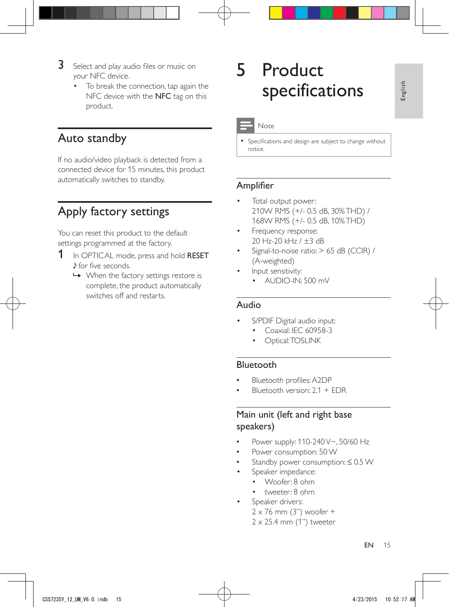- <span id="page-16-0"></span>**3** Select and play audio files or music on your NFC device.
	- To break the connection, tap again the NFC device with the NFC tag on this product.

## Auto standby

If no audio/video playback is detected from a connected device for 15 minutes, this product automatically switches to standby.

## <span id="page-16-1"></span>Apply factory settings

You can reset this product to the default settings programmed at the factory.

- 1 In OPTICAL mode, press and hold RESET for five seconds.
	- $\rightarrow$  When the factory settings restore is complete, the product automatically switches off and restarts.

## 5 Product specifications

### **Note**

• Specifications and design are subject to change without notice.

## Amplifier

- Total output power: 210W RMS (+/- 0.5 dB, 30% THD) / 168W RMS (+/- 0.5 dB, 10% THD)
- Frequency response: 20 Hz-20 kHz / ±3 dB
- Signal-to-noise ratio: > 65 dB (CCIR) / (A-weighted)
- Input sensitivity:
	- AUDIO-IN: 500 mV

## Audio

- S/PDIF Digital audio input:
	- Coaxial: IEC 60958-3
	- Optical: TOSLINK

## Bluetooth

- Bluetooth profiles: A2DP
- Bluetooth version: 2.1 + EDR

## Main unit (left and right base speakers)

- Power supply: 110-240 V~, 50/60 Hz
- Power consumption: 50 W
- Standby power consumption: ≤ 0.5 W
- Speaker impedance:
	- Woofer: 8 ohm
	- tweeter: 8 ohm
	- Speaker drivers:  $2 \times 76$  mm (3") woofer +
		- $2 \times 25.4$  mm (1") tweeter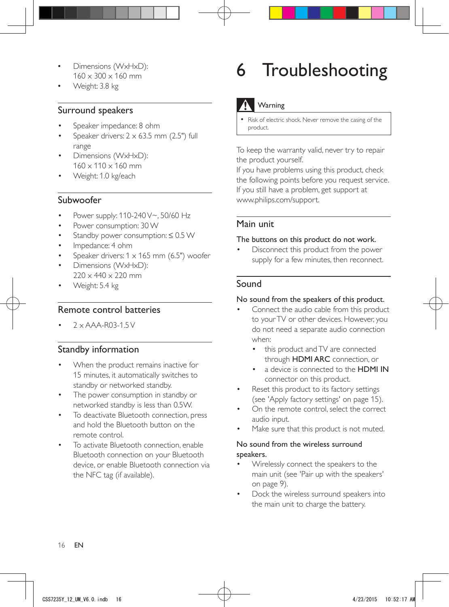- <span id="page-17-0"></span>• Dimensions (WxHxD):  $160 \times 300 \times 160$  mm
- Weight: 3.8 kg

## Surround speakers

- Speaker impedance: 8 ohm
- Speaker drivers:  $2 \times 63.5$  mm (2.5") full range
- Dimensions (WxHxD):  $160 \times 110 \times 160$  mm
- Weight: 1.0 kg/each

## Subwoofer

- Power supply: 110-240 V~, 50/60 Hz
- Power consumption: 30 W
- Standby power consumption: ≤ 0.5 W
- Impedance: 4 ohm
- Speaker drivers:  $1 \times 165$  mm (6.5") woofer
- Dimensions (WxHxD):  $220 \times 440 \times 220$  mm
- Weight: 5.4 kg

## Remote control batteries

 $7 \times$  AAA-R03-1.5 V

## Standby information

- When the product remains inactive for 15 minutes, it automatically switches to standby or networked standby.
- The power consumption in standby or networked standby is less than 0.5W.
- To deactivate Bluetooth connection, press and hold the Bluetooth button on the remote control.
- To activate Bluetooth connection, enable Bluetooth connection on your Bluetooth device, or enable Bluetooth connection via the NFC tag (if available).

## 6 Troubleshooting

## **Warning**

• Risk of electric shock. Never remove the casing of the product.

To keep the warranty valid, never try to repair the product yourself.

If you have problems using this product, check the following points before you request service. If you still have a problem, get support at www.philips.com/support.

## Main unit

#### The buttons on this product do not work.

• Disconnect this product from the power supply for a few minutes, then reconnect.

## Sound

#### No sound from the speakers of this product.

- Connect the audio cable from this product to your TV or other devices. However, you do not need a separate audio connection when:
	- this product and TV are connected through HDMI ARC connection, or
	- a device is connected to the HDMI IN connector on this product.
- Reset this product to its factory settings (see 'Apply factory settings' on page [15\)](#page-16-1).
- On the remote control, select the correct audio input.
- Make sure that this product is not muted.

#### No sound from the wireless surround speakers.

- [Wirelessly connect the speakers to the](#page-10-1)  [main unit](#page-10-1) (see 'Pair up with the speakers' on page [9](#page-10-1)).
- Dock the wireless surround speakers into the main unit to charge the battery.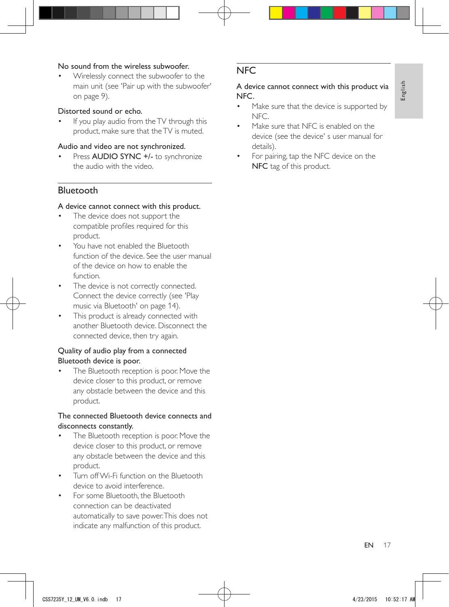#### No sound from the wireless subwoofer.

• [Wirelessly connect the subwoofer to the](#page-10-2)  [main unit](#page-10-2) (see 'Pair up with the subwoofer' on page [9](#page-10-2)).

#### Distorted sound or echo.

If you play audio from the TV through this product, make sure that the TV is muted.

#### Audio and video are not synchronized.

Press AUDIO SYNC +/- to synchronize the audio with the video.

## Bluetooth

#### A device cannot connect with this product.

- The device does not support the compatible profiles required for this product.
- You have not enabled the Bluetooth function of the device. See the user manual of the device on how to enable the function.
- The device is not correctly connected. [Connect the device correctly](#page-15-1) (see 'Play music via Bluetooth' on page [14](#page-15-1)).
- This product is already connected with another Bluetooth device. Disconnect the connected device, then try again.

#### Quality of audio play from a connected Bluetooth device is poor.

The Bluetooth reception is poor. Move the device closer to this product, or remove any obstacle between the device and this product.

#### The connected Bluetooth device connects and disconnects constantly.

- The Bluetooth reception is poor. Move the device closer to this product, or remove any obstacle between the device and this product.
- Turn off Wi-Fi function on the Bluetooth device to avoid interference.
- For some Bluetooth, the Bluetooth connection can be deactivated automatically to save power. This does not indicate any malfunction of this product.

## **NFC**

#### A device cannot connect with this product via NFC.

- Make sure that the device is supported by NFC.
- Make sure that NFC is enabled on the device (see the device' s user manual for details).
- For pairing, tap the NFC device on the NFC tag of this product.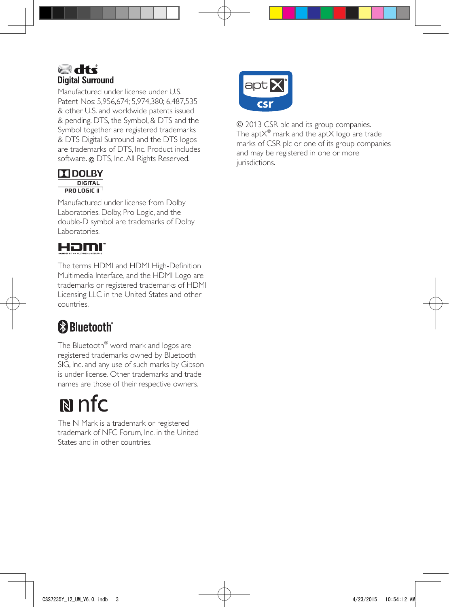## atta **a Digital Surround**

Manufactured under license under U.S. Patent Nos: 5,956,674; 5,974,380; 6,487,535 & other U.S. and worldwide patents issued & pending. DTS, the Symbol, & DTS and the Symbol together are registered trademarks & DTS Digital Surround and the DTS logos are trademarks of DTS, Inc. Product includes software. @ DTS, Inc. All Rights Reserved.

#### $\Pi$ DOLBY **DIGITAL**  $PROLOGIC II$

Manufactured under license from Dolby Laboratories. Dolby, Pro Logic, and the double-D symbol are trademarks of Dolby Laboratories.

## Həmr

The terms HDMI and HDMI High-Definition Multimedia Interface, and the HDMI Logo are trademarks or registered trademarks of HDMI Licensing LLC in the United States and other countries.

## **&Bluetooth**

The Bluetooth® word mark and logos are registered trademarks owned by Bluetooth SIG, Inc. and any use of such marks by Gibson is under license. Other trademarks and trade names are those of their respective owners.

## $\mathbb{N}$  nfc

The N Mark is a trademark or registered trademark of NFC Forum, Inc. in the United States and in other countries.



© 2013 CSR plc and its group companies. The apt $\mathsf{X}^\circledast$  mark and the apt $\mathsf{X}$  logo are trade marks of CSR plc or one of its group companies and may be registered in one or more jurisdictions.